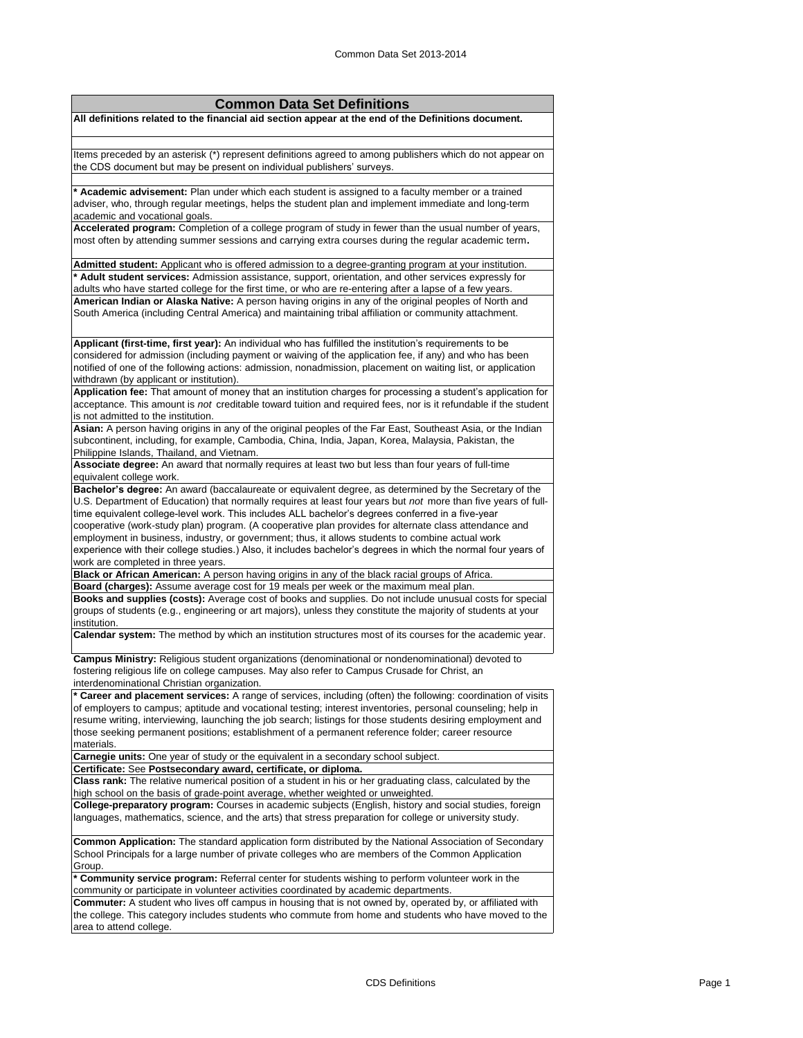| <b>Common Data Set Definitions</b>                                                                                                    |
|---------------------------------------------------------------------------------------------------------------------------------------|
| All definitions related to the financial aid section appear at the end of the Definitions document.                                   |
|                                                                                                                                       |
|                                                                                                                                       |
| Items preceded by an asterisk (*) represent definitions agreed to among publishers which do not appear on                             |
| the CDS document but may be present on individual publishers' surveys.                                                                |
|                                                                                                                                       |
| * Academic advisement: Plan under which each student is assigned to a faculty member or a trained                                     |
| adviser, who, through regular meetings, helps the student plan and implement immediate and long-term                                  |
| academic and vocational goals.                                                                                                        |
| Accelerated program: Completion of a college program of study in fewer than the usual number of years,                                |
| most often by attending summer sessions and carrying extra courses during the regular academic term.                                  |
|                                                                                                                                       |
| Admitted student: Applicant who is offered admission to a degree-granting program at your institution.                                |
| * Adult student services: Admission assistance, support, orientation, and other services expressly for                                |
| adults who have started college for the first time, or who are re-entering after a lapse of a few years.                              |
| American Indian or Alaska Native: A person having origins in any of the original peoples of North and                                 |
| South America (including Central America) and maintaining tribal affiliation or community attachment.                                 |
|                                                                                                                                       |
| Applicant (first-time, first year): An individual who has fulfilled the institution's requirements to be                              |
| considered for admission (including payment or waiving of the application fee, if any) and who has been                               |
| notified of one of the following actions: admission, nonadmission, placement on waiting list, or application                          |
| withdrawn (by applicant or institution).                                                                                              |
| Application fee: That amount of money that an institution charges for processing a student's application for                          |
| acceptance. This amount is not creditable toward tuition and required fees, nor is it refundable if the student                       |
| is not admitted to the institution.                                                                                                   |
| Asian: A person having origins in any of the original peoples of the Far East, Southeast Asia, or the Indian                          |
| subcontinent, including, for example, Cambodia, China, India, Japan, Korea, Malaysia, Pakistan, the                                   |
| Philippine Islands, Thailand, and Vietnam.                                                                                            |
| Associate degree: An award that normally requires at least two but less than four years of full-time                                  |
| equivalent college work.                                                                                                              |
| Bachelor's degree: An award (baccalaureate or equivalent degree, as determined by the Secretary of the                                |
| U.S. Department of Education) that normally requires at least four years but not more than five years of full-                        |
| time equivalent college-level work. This includes ALL bachelor's degrees conferred in a five-year                                     |
| cooperative (work-study plan) program. (A cooperative plan provides for alternate class attendance and                                |
| employment in business, industry, or government; thus, it allows students to combine actual work                                      |
| experience with their college studies.) Also, it includes bachelor's degrees in which the normal four years of                        |
|                                                                                                                                       |
| work are completed in three years.<br>Black or African American: A person having origins in any of the black racial groups of Africa. |
| Board (charges): Assume average cost for 19 meals per week or the maximum meal plan.                                                  |
| Books and supplies (costs): Average cost of books and supplies. Do not include unusual costs for special                              |
| groups of students (e.g., engineering or art majors), unless they constitute the majority of students at your                         |
| institution.                                                                                                                          |
| Calendar system: The method by which an institution structures most of its courses for the academic year.                             |
|                                                                                                                                       |
| Campus Ministry: Religious student organizations (denominational or nondenominational) devoted to                                     |
| fostering religious life on college campuses. May also refer to Campus Crusade for Christ, an                                         |
| interdenominational Christian organization.                                                                                           |
| * Career and placement services: A range of services, including (often) the following: coordination of visits                         |
| of employers to campus; aptitude and vocational testing; interest inventories, personal counseling; help in                           |
| resume writing, interviewing, launching the job search; listings for those students desiring employment and                           |
| those seeking permanent positions; establishment of a permanent reference folder; career resource                                     |
| materials.                                                                                                                            |
| <b>Carnegie units:</b> One year of study or the equivalent in a secondary school subject.                                             |
| Certificate: See Postsecondary award, certificate, or diploma.                                                                        |
| Class rank: The relative numerical position of a student in his or her graduating class, calculated by the                            |
| high school on the basis of grade-point average, whether weighted or unweighted.                                                      |
| <b>College-preparatory program:</b> Courses in academic subjects (English, history and social studies, foreign                        |
| languages, mathematics, science, and the arts) that stress preparation for college or university study.                               |
|                                                                                                                                       |
| Common Application: The standard application form distributed by the National Association of Secondary                                |
| School Principals for a large number of private colleges who are members of the Common Application                                    |
| Group.                                                                                                                                |
| * Community service program: Referral center for students wishing to perform volunteer work in the                                    |
| community or participate in volunteer activities coordinated by academic departments.                                                 |
| <b>Commuter:</b> A student who lives off campus in housing that is not owned by, operated by, or affiliated with                      |
| the college. This category includes students who commute from home and students who have moved to the                                 |
| area to attend college.                                                                                                               |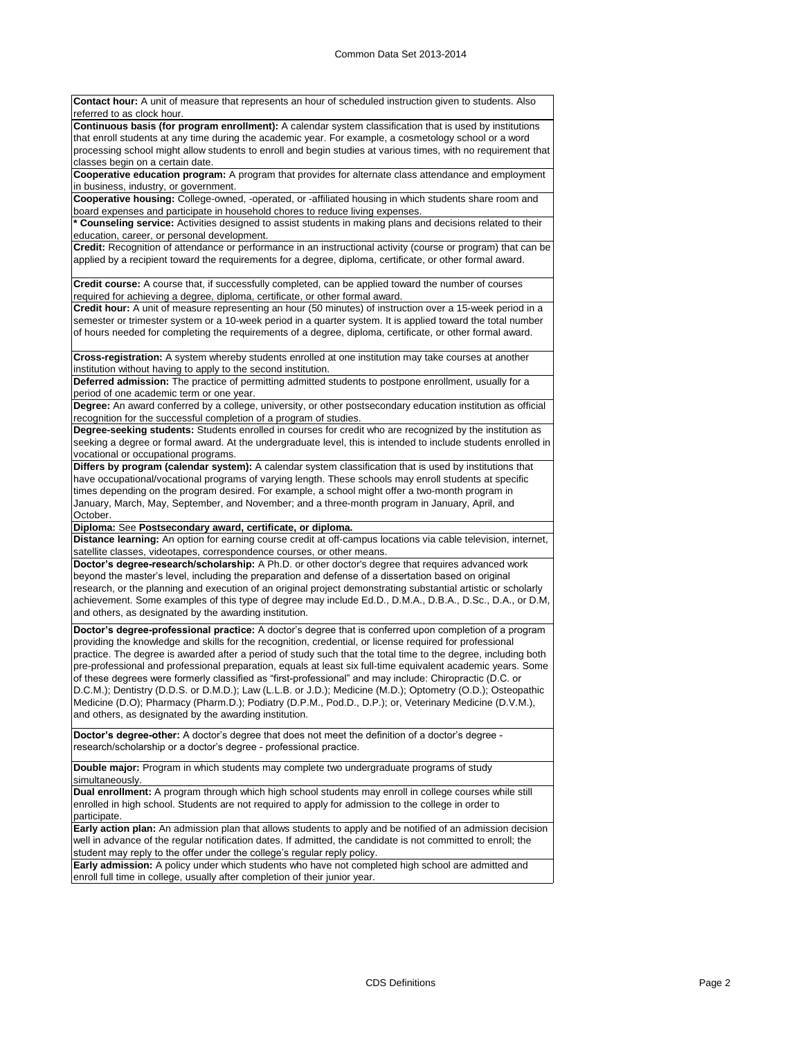**Contact hour:** A unit of measure that represents an hour of scheduled instruction given to students. Also referred to as clock hour. **Continuous basis (for program enrollment):** A calendar system classification that is used by institutions that enroll students at any time during the academic year. For example, a cosmetology school or a word processing school might allow students to enroll and begin studies at various times, with no requirement that classes begin on a certain date. **Cooperative education program:** A program that provides for alternate class attendance and employment in business, industry, or government. **Cooperative housing:** College-owned, -operated, or -affiliated housing in which students share room and board expenses and participate in household chores to reduce living expenses. **\* Counseling service:** Activities designed to assist students in making plans and decisions related to their education, career, or personal development.

**Credit:** Recognition of attendance or performance in an instructional activity (course or program) that can be applied by a recipient toward the requirements for a degree, diploma, certificate, or other formal award.

**Credit course:** A course that, if successfully completed, can be applied toward the number of courses required for achieving a degree, diploma, certificate, or other formal award.

**Credit hour:** A unit of measure representing an hour (50 minutes) of instruction over a 15-week period in a semester or trimester system or a 10-week period in a quarter system. It is applied toward the total number of hours needed for completing the requirements of a degree, diploma, certificate, or other formal award.

**Cross-registration:** A system whereby students enrolled at one institution may take courses at another institution without having to apply to the second institution.

**Deferred admission:** The practice of permitting admitted students to postpone enrollment, usually for a period of one academic term or one year.

**Degree:** An award conferred by a college, university, or other postsecondary education institution as official recognition for the successful completion of a program of studies.

**Degree-seeking students:** Students enrolled in courses for credit who are recognized by the institution as seeking a degree or formal award. At the undergraduate level, this is intended to include students enrolled in vocational or occupational programs.

**Differs by program (calendar system):** A calendar system classification that is used by institutions that have occupational/vocational programs of varying length. These schools may enroll students at specific times depending on the program desired. For example, a school might offer a two-month program in January, March, May, September, and November; and a three-month program in January, April, and October.

**Diploma:** See **Postsecondary award, certificate, or diploma.**

**Distance learning:** An option for earning course credit at off-campus locations via cable television, internet, satellite classes, videotapes, correspondence courses, or other means.

**Doctor's degree-research/scholarship:** A Ph.D. or other doctor's degree that requires advanced work beyond the master's level, including the preparation and defense of a dissertation based on original research, or the planning and execution of an original project demonstrating substantial artistic or scholarly achievement. Some examples of this type of degree may include Ed.D., D.M.A., D.B.A., D.Sc., D.A., or D.M, and others, as designated by the awarding institution.

**Doctor's degree-professional practice:** A doctor's degree that is conferred upon completion of a program providing the knowledge and skills for the recognition, credential, or license required for professional practice. The degree is awarded after a period of study such that the total time to the degree, including both pre-professional and professional preparation, equals at least six full-time equivalent academic years. Some of these degrees were formerly classified as "first-professional" and may include: Chiropractic (D.C. or D.C.M.); Dentistry (D.D.S. or D.M.D.); Law (L.L.B. or J.D.); Medicine (M.D.); Optometry (O.D.); Osteopathic Medicine (D.O); Pharmacy (Pharm.D.); Podiatry (D.P.M., Pod.D., D.P.); or, Veterinary Medicine (D.V.M.), and others, as designated by the awarding institution.

**Doctor's degree-other:** A doctor's degree that does not meet the definition of a doctor's degree research/scholarship or a doctor's degree - professional practice.

**Double major:** Program in which students may complete two undergraduate programs of study simultaneously.

**Dual enrollment:** A program through which high school students may enroll in college courses while still enrolled in high school. Students are not required to apply for admission to the college in order to participate.

**Early action plan:** An admission plan that allows students to apply and be notified of an admission decision well in advance of the regular notification dates. If admitted, the candidate is not committed to enroll; the student may reply to the offer under the college's regular reply policy.

**Early admission:** A policy under which students who have not completed high school are admitted and enroll full time in college, usually after completion of their junior year.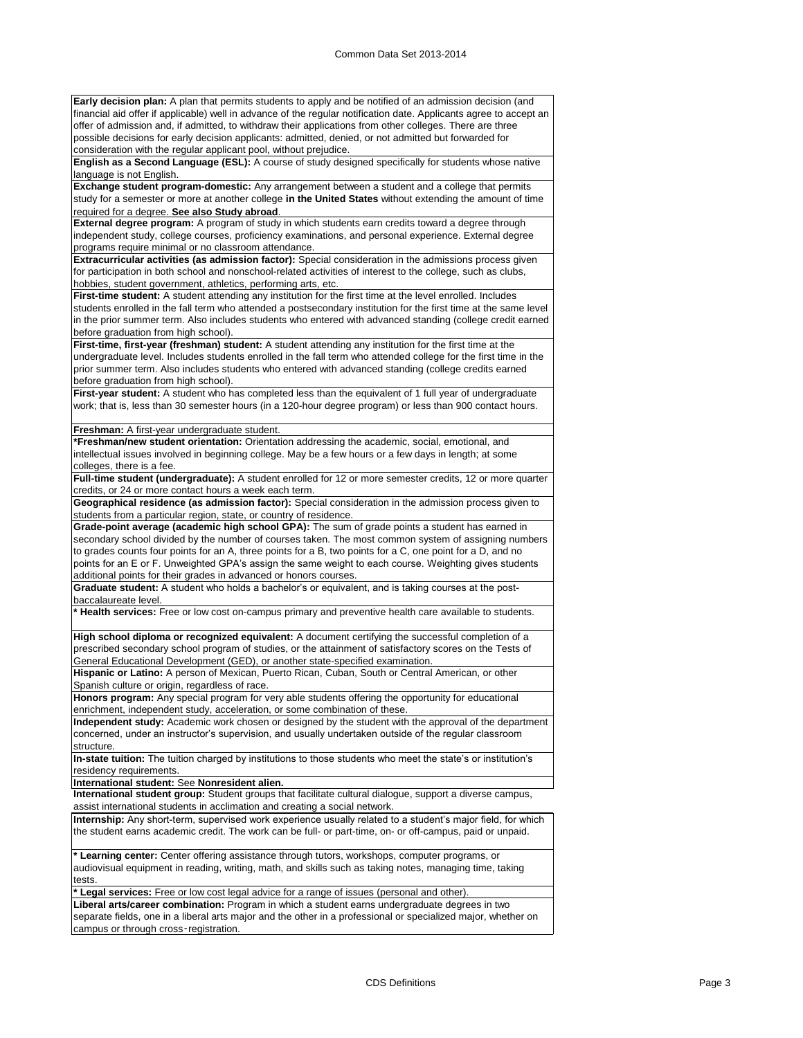**Early decision plan:** A plan that permits students to apply and be notified of an admission decision (and financial aid offer if applicable) well in advance of the regular notification date. Applicants agree to accept an offer of admission and, if admitted, to withdraw their applications from other colleges. There are three possible decisions for early decision applicants: admitted, denied, or not admitted but forwarded for consideration with the regular applicant pool, without prejudice.

**English as a Second Language (ESL):** A course of study designed specifically for students whose native language is not English.

**Exchange student program-domestic:** Any arrangement between a student and a college that permits study for a semester or more at another college **in the United States** without extending the amount of time required for a degree. **See also Study abroad**.

**External degree program:** A program of study in which students earn credits toward a degree through independent study, college courses, proficiency examinations, and personal experience. External degree programs require minimal or no classroom attendance.

**Extracurricular activities (as admission factor):** Special consideration in the admissions process given for participation in both school and nonschool-related activities of interest to the college, such as clubs, hobbies, student government, athletics, performing arts, etc.

First-time student: A student attending any institution for the first time at the level enrolled. Includes students enrolled in the fall term who attended a postsecondary institution for the first time at the same level in the prior summer term. Also includes students who entered with advanced standing (college credit earned before graduation from high school).

**First-time, first-year (freshman) student:** A student attending any institution for the first time at the undergraduate level. Includes students enrolled in the fall term who attended college for the first time in the prior summer term. Also includes students who entered with advanced standing (college credits earned before graduation from high school).

**First-year student:** A student who has completed less than the equivalent of 1 full year of undergraduate work; that is, less than 30 semester hours (in a 120-hour degree program) or less than 900 contact hours.

**Freshman:** A first-year undergraduate student.

**\*Freshman/new student orientation:** Orientation addressing the academic, social, emotional, and intellectual issues involved in beginning college. May be a few hours or a few days in length; at some colleges, there is a fee.

**Full-time student (undergraduate):** A student enrolled for 12 or more semester credits, 12 or more quarter credits, or 24 or more contact hours a week each term.

**Geographical residence (as admission factor):** Special consideration in the admission process given to students from a particular region, state, or country of residence.

**Grade-point average (academic high school GPA):** The sum of grade points a student has earned in secondary school divided by the number of courses taken. The most common system of assigning numbers to grades counts four points for an A, three points for a B, two points for a C, one point for a D, and no points for an E or F. Unweighted GPA's assign the same weight to each course. Weighting gives students additional points for their grades in advanced or honors courses.

**Graduate student:** A student who holds a bachelor's or equivalent, and is taking courses at the postbaccalaureate level.

**\* Health services:** Free or low cost on-campus primary and preventive health care available to students.

**High school diploma or recognized equivalent:** A document certifying the successful completion of a prescribed secondary school program of studies, or the attainment of satisfactory scores on the Tests of General Educational Development (GED), or another state-specified examination.

**Hispanic or Latino:** A person of Mexican, Puerto Rican, Cuban, South or Central American, or other Spanish culture or origin, regardless of race.

**Honors program:** Any special program for very able students offering the opportunity for educational enrichment, independent study, acceleration, or some combination of these.

**Independent study:** Academic work chosen or designed by the student with the approval of the department concerned, under an instructor's supervision, and usually undertaken outside of the regular classroom structure.

**In-state tuition:** The tuition charged by institutions to those students who meet the state's or institution's residency requirements.

**International student:** See **Nonresident alien.**

**International student group:** Student groups that facilitate cultural dialogue, support a diverse campus, assist international students in acclimation and creating a social network.

**Internship:** Any short-term, supervised work experience usually related to a student's major field, for which the student earns academic credit. The work can be full- or part-time, on- or off-campus, paid or unpaid.

**\* Learning center:** Center offering assistance through tutors, workshops, computer programs, or audiovisual equipment in reading, writing, math, and skills such as taking notes, managing time, taking tests.

**\* Legal services:** Free or low cost legal advice for a range of issues (personal and other).

**Liberal arts/career combination:** Program in which a student earns undergraduate degrees in two separate fields, one in a liberal arts major and the other in a professional or specialized major, whether on campus or through cross-registration.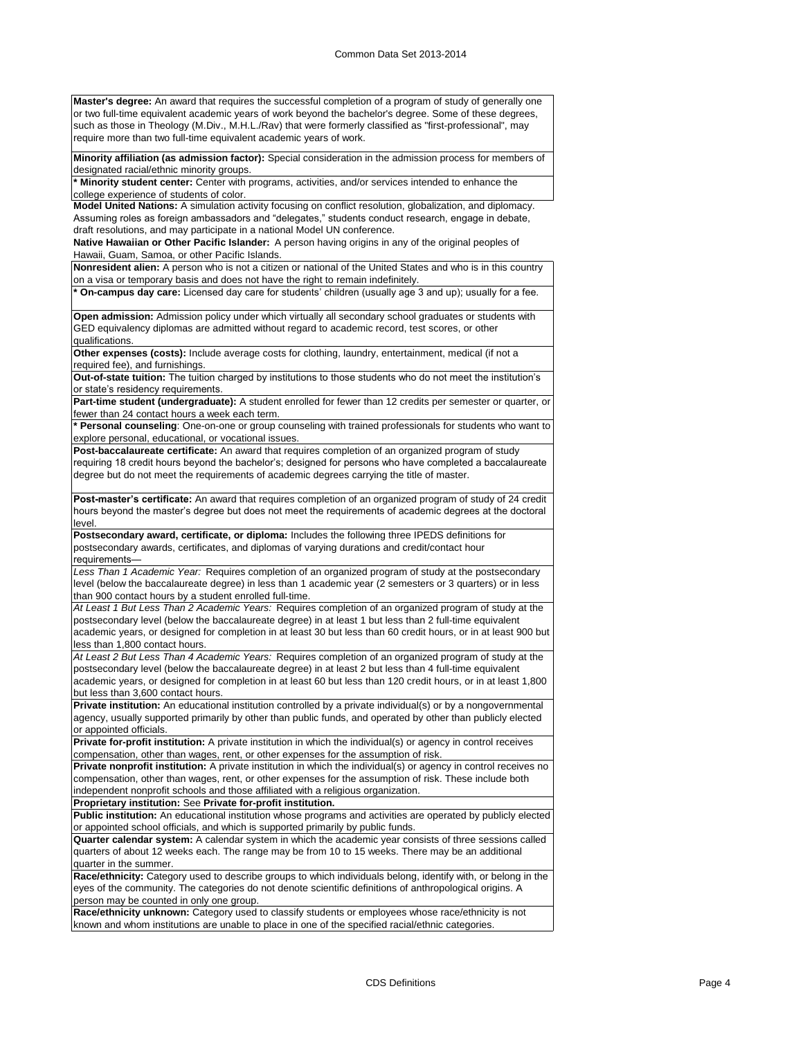**Master's degree:** An award that requires the successful completion of a program of study of generally one or two full-time equivalent academic years of work beyond the bachelor's degree. Some of these degrees, such as those in Theology (M.Div., M.H.L./Rav) that were formerly classified as "first-professional", may require more than two full-time equivalent academic years of work.

**Minority affiliation (as admission factor):** Special consideration in the admission process for members of designated racial/ethnic minority groups.

**\* Minority student center:** Center with programs, activities, and/or services intended to enhance the college experience of students of color.

**Model United Nations:** A simulation activity focusing on conflict resolution, globalization, and diplomacy. Assuming roles as foreign ambassadors and "delegates," students conduct research, engage in debate, draft resolutions, and may participate in a national Model UN conference.

**Native Hawaiian or Other Pacific Islander:** A person having origins in any of the original peoples of Hawaii, Guam, Samoa, or other Pacific Islands.

**Nonresident alien:** A person who is not a citizen or national of the United States and who is in this country on a visa or temporary basis and does not have the right to remain indefinitely.

**\* On-campus day care:** Licensed day care for students' children (usually age 3 and up); usually for a fee.

**Open admission:** Admission policy under which virtually all secondary school graduates or students with GED equivalency diplomas are admitted without regard to academic record, test scores, or other qualifications.

**Other expenses (costs):** Include average costs for clothing, laundry, entertainment, medical (if not a required fee), and furnishings.

**Out-of-state tuition:** The tuition charged by institutions to those students who do not meet the institution's or state's residency requirements.

Part-time student (undergraduate): A student enrolled for fewer than 12 credits per semester or quarter, or fewer than 24 contact hours a week each term.

**\* Personal counseling**: One-on-one or group counseling with trained professionals for students who want to explore personal, educational, or vocational issues.

**Post-baccalaureate certificate:** An award that requires completion of an organized program of study requiring 18 credit hours beyond the bachelor's; designed for persons who have completed a baccalaureate degree but do not meet the requirements of academic degrees carrying the title of master.

**Post-master's certificate:** An award that requires completion of an organized program of study of 24 credit hours beyond the master's degree but does not meet the requirements of academic degrees at the doctoral level.

**Postsecondary award, certificate, or diploma:** Includes the following three IPEDS definitions for postsecondary awards, certificates, and diplomas of varying durations and credit/contact hour requirements—

*Less Than 1 Academic Year:* Requires completion of an organized program of study at the postsecondary level (below the baccalaureate degree) in less than 1 academic year (2 semesters or 3 quarters) or in less than 900 contact hours by a student enrolled full-time.

*At Least 1 But Less Than 2 Academic Years:* Requires completion of an organized program of study at the postsecondary level (below the baccalaureate degree) in at least 1 but less than 2 full-time equivalent academic years, or designed for completion in at least 30 but less than 60 credit hours, or in at least 900 but less than 1,800 contact hours.

*At Least 2 But Less Than 4 Academic Years:* Requires completion of an organized program of study at the postsecondary level (below the baccalaureate degree) in at least 2 but less than 4 full-time equivalent academic years, or designed for completion in at least 60 but less than 120 credit hours, or in at least 1,800 but less than 3,600 contact hours.

**Private institution:** An educational institution controlled by a private individual(s) or by a nongovernmental agency, usually supported primarily by other than public funds, and operated by other than publicly elected or appointed officials.

**Private for-profit institution:** A private institution in which the individual(s) or agency in control receives compensation, other than wages, rent, or other expenses for the assumption of risk.

**Private nonprofit institution:** A private institution in which the individual(s) or agency in control receives no compensation, other than wages, rent, or other expenses for the assumption of risk. These include both independent nonprofit schools and those affiliated with a religious organization.

**Proprietary institution:** See **Private for-profit institution.**

**Public institution:** An educational institution whose programs and activities are operated by publicly elected or appointed school officials, and which is supported primarily by public funds.

**Quarter calendar system:** A calendar system in which the academic year consists of three sessions called quarters of about 12 weeks each. The range may be from 10 to 15 weeks. There may be an additional quarter in the summer.

**Race/ethnicity:** Category used to describe groups to which individuals belong, identify with, or belong in the eyes of the community. The categories do not denote scientific definitions of anthropological origins. A person may be counted in only one group.

**Race/ethnicity unknown:** Category used to classify students or employees whose race/ethnicity is not known and whom institutions are unable to place in one of the specified racial/ethnic categories.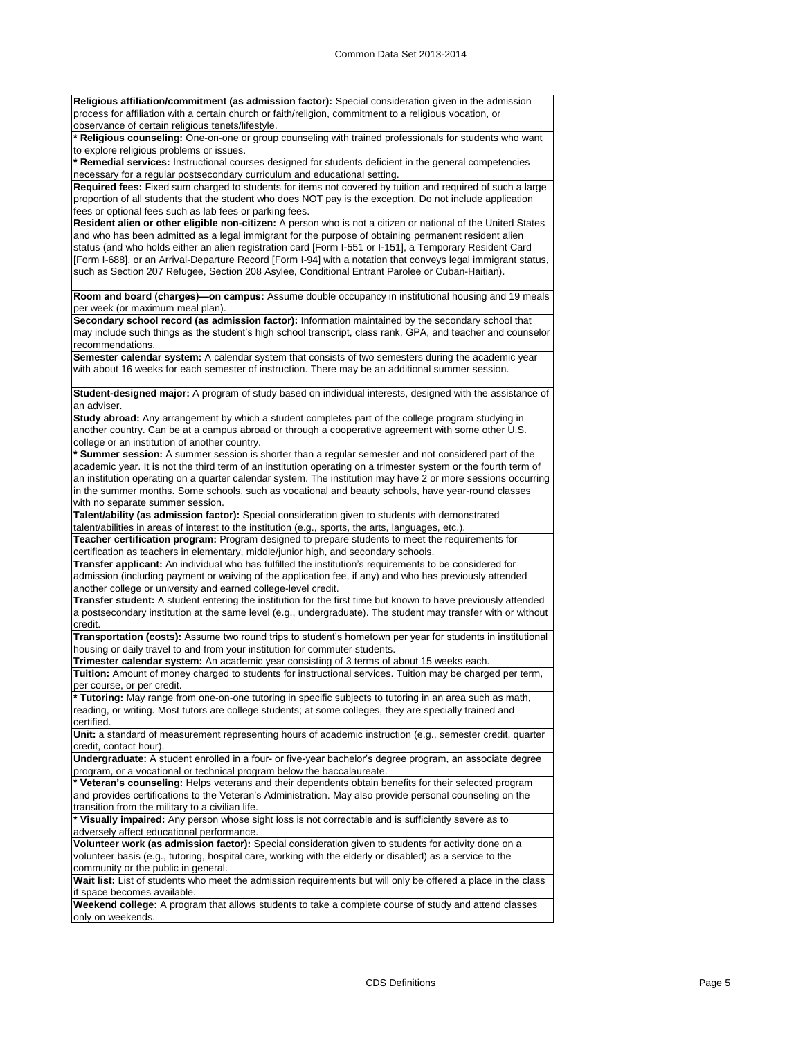**Religious affiliation/commitment (as admission factor):** Special consideration given in the admission process for affiliation with a certain church or faith/religion, commitment to a religious vocation, or .<br>observance of certain religious tenets/lifestyle.

**\* Religious counseling:** One-on-one or group counseling with trained professionals for students who want to explore religious problems or issues.

**\* Remedial services:** Instructional courses designed for students deficient in the general competencies necessary for a regular postsecondary curriculum and educational setting.

**Required fees:** Fixed sum charged to students for items not covered by tuition and required of such a large proportion of all students that the student who does NOT pay is the exception. Do not include application fees or optional fees such as lab fees or parking fees.

**Resident alien or other eligible non-citizen:** A person who is not a citizen or national of the United States and who has been admitted as a legal immigrant for the purpose of obtaining permanent resident alien status (and who holds either an alien registration card [Form I-551 or I-151], a Temporary Resident Card [Form I-688], or an Arrival-Departure Record [Form I-94] with a notation that conveys legal immigrant status, such as Section 207 Refugee, Section 208 Asylee, Conditional Entrant Parolee or Cuban-Haitian).

**Room and board (charges)—on campus:** Assume double occupancy in institutional housing and 19 meals per week (or maximum meal plan).

**Secondary school record (as admission factor):** Information maintained by the secondary school that may include such things as the student's high school transcript, class rank, GPA, and teacher and counselor recommendations.

**Semester calendar system:** A calendar system that consists of two semesters during the academic year with about 16 weeks for each semester of instruction. There may be an additional summer session.

**Student-designed major:** A program of study based on individual interests, designed with the assistance of an adviser.

**Study abroad:** Any arrangement by which a student completes part of the college program studying in another country. Can be at a campus abroad or through a cooperative agreement with some other U.S. college or an institution of another country.

**\* Summer session:** A summer session is shorter than a regular semester and not considered part of the academic year. It is not the third term of an institution operating on a trimester system or the fourth term of an institution operating on a quarter calendar system. The institution may have 2 or more sessions occurring in the summer months. Some schools, such as vocational and beauty schools, have year-round classes with no separate summer session.

**Talent/ability (as admission factor):** Special consideration given to students with demonstrated talent/abilities in areas of interest to the institution (e.g., sports, the arts, languages, etc.).

**Teacher certification program:** Program designed to prepare students to meet the requirements for certification as teachers in elementary, middle/junior high, and secondary schools.

**Transfer applicant:** An individual who has fulfilled the institution's requirements to be considered for admission (including payment or waiving of the application fee, if any) and who has previously attended another college or university and earned college-level credit.

**Transfer student:** A student entering the institution for the first time but known to have previously attended a postsecondary institution at the same level (e.g., undergraduate). The student may transfer with or without credit.

**Transportation (costs):** Assume two round trips to student's hometown per year for students in institutional housing or daily travel to and from your institution for commuter students.

**Trimester calendar system:** An academic year consisting of 3 terms of about 15 weeks each.

**Tuition:** Amount of money charged to students for instructional services. Tuition may be charged per term, per course, or per credit.

**\* Tutoring:** May range from one-on-one tutoring in specific subjects to tutoring in an area such as math, reading, or writing. Most tutors are college students; at some colleges, they are specially trained and certified.

**Unit:** a standard of measurement representing hours of academic instruction (e.g., semester credit, quarter credit, contact hour).

**Undergraduate:** A student enrolled in a four- or five-year bachelor's degree program, an associate degree program, or a vocational or technical program below the baccalaureate.

**\* Veteran's counseling:** Helps veterans and their dependents obtain benefits for their selected program and provides certifications to the Veteran's Administration. May also provide personal counseling on the transition from the military to a civilian life.

**\* Visually impaired:** Any person whose sight loss is not correctable and is sufficiently severe as to adversely affect educational performance.

**Volunteer work (as admission factor):** Special consideration given to students for activity done on a volunteer basis (e.g., tutoring, hospital care, working with the elderly or disabled) as a service to the community or the public in general.

Wait list: List of students who meet the admission requirements but will only be offered a place in the class if space becomes available.

**Weekend college:** A program that allows students to take a complete course of study and attend classes only on weekends.